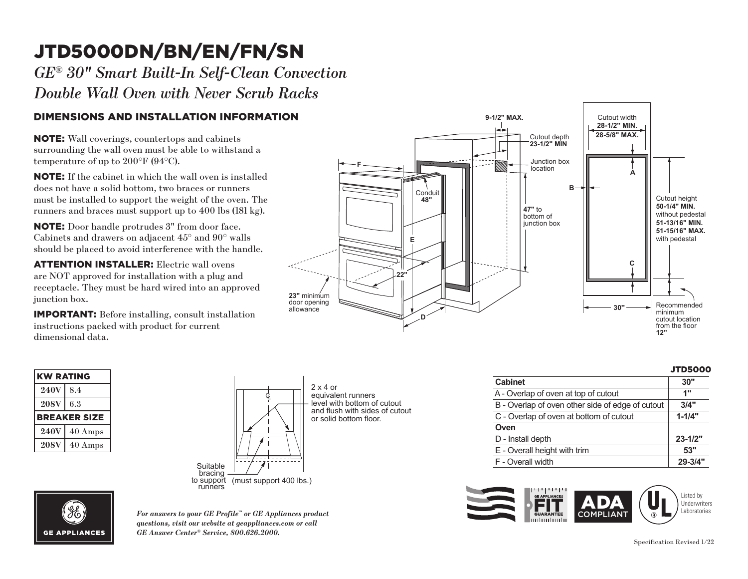# JTD5000DN/BN/EN/FN/SN **F**

*GE® 30" Smart Built-In Self-Clean Convection*   $\emph{Double Wall Over with Never Scrub Racks}$ 

#### DIMENSIONS AND INSTALLATION INFORMATION **48"**

NOTE: Wall coverings, countertops and cabinets surrounding the wall oven must be able to withstand a temperature of up to 200°F (94°C).

**NOTE:** If the cabinet in which the wall oven is installed does not have a solid bottom, two braces or runners must be installed to support the weight of the oven. The runners and braces must support up to 400 lbs (181 kg).

**NOTE:** Door handle protrudes 3" from door face. should be placed to avoid interference with the handle. Cabinets and drawers on adjacent 45° and 90° walls

**ATTENTION INSTALLER:** Electric wall ovens are NOT approved for installation with a plug and receptacle. They must be hard wired into an approved junction box.

**23"** minimum instructions packed with product for current IMPORTANT: Before installing, consult installation dimensional data.



| <b>KW RATING</b> |                     |
|------------------|---------------------|
| <b>240V</b>      | 8.4                 |
| <b>208V</b>      | 6.3                 |
|                  | <b>BREAKER SIZE</b> |
| <b>240V</b>      | $40 \text{ Amps}$   |
| <b>208V</b>      | $40$ Amps           |



or solid bottom floor.  $\|\cdot\|$  or solid bottom floor. 2 x 4 or equivalent runners level with bottom of cutout and flush with sides of cutout

|                                                  | <b>JTD5000</b> |
|--------------------------------------------------|----------------|
| <b>Cabinet</b>                                   | 30"            |
| A - Overlap of oven at top of cutout             | 1"             |
| B - Overlap of oven other side of edge of cutout | 3/4"           |
| C - Overlap of oven at bottom of cutout          | $1 - 1/4"$     |
| Oven                                             |                |
| D - Install depth                                | $23 - 1/2"$    |
| E - Overall height with trim                     | 53"            |
| F - Overall width                                | $29 - 3/4"$    |
|                                                  |                |





*For answers to your GE Profile™ or GE Appliances product questions, visit our website at geappliances.com or call GE Answer Center® Service, 800.626.2000.*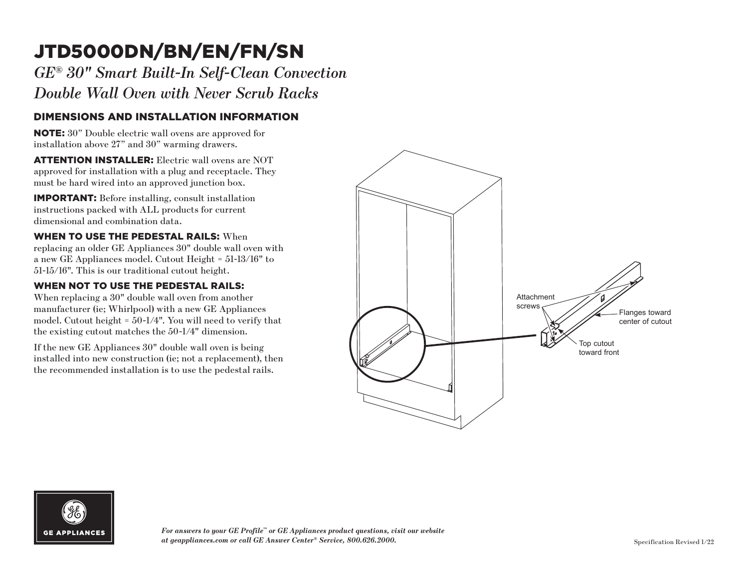## JTD5000DN/BN/EN/FN/SN

*GE ® 30" Smart Built-In Self-Clean Convection Double Wall Oven with Never Scrub Racks*

### DIMENSIONS AND INSTALLATION INFORMATION

NOTE: 30" Double electric wall ovens are approved for installation above 27" and 30" warming drawers.

**ATTENTION INSTALLER:** Electric wall ovens are NOT approved for installation with a plug and receptacle. They must be hard wired into an approved junction box.

IMPORTANT: Before installing, consult installation instructions packed with ALL products for current dimensional and combination data.

WHEN TO USE THE PEDESTAL RAILS: When replacing an older GE Appliances 30" double wall oven with a new GE Appliances model. Cutout Height = 51-13/16" to 51-15/16". This is our traditional cutout height.

#### WHEN NOT TO USE THE PEDESTAL RAILS:

When replacing a 30" double wall oven from another manufacturer (ie; Whirlpool) with a new GE Appliances model. Cutout height = 50-1/4". You will need to verify that the existing cutout matches the 50-1/4" dimension.

If the new GE Appliances 30" double wall oven is being installed into new construction (ie; not a replacement), then the recommended installation is to use the pedestal rails.